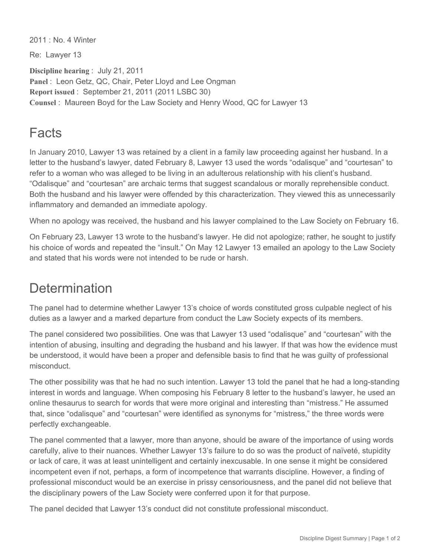2011 : No. 4 Winter

Re: Lawyer 13

**Discipline hearing** : July 21, 2011 **Panel** : Leon Getz, QC, Chair, Peter Lloyd and Lee Ongman **Report issued** : September 21, 2011 (2011 LSBC 30) **Counsel** : Maureen Boyd for the Law Society and Henry Wood, QC for Lawyer 13

## Facts

In January 2010, Lawyer 13 was retained by a client in a family law proceeding against her husband. In a letter to the husband's lawyer, dated February 8, Lawyer 13 used the words "odalisque" and "courtesan" to refer to a woman who was alleged to be living in an adulterous relationship with his client's husband. "Odalisque" and "courtesan" are archaic terms that suggest scandalous or morally reprehensible conduct. Both the husband and his lawyer were offended by this characterization. They viewed this as unnecessarily inflammatory and demanded an immediate apology.

When no apology was received, the husband and his lawyer complained to the Law Society on February 16.

On February 23, Lawyer 13 wrote to the husband's lawyer. He did not apologize; rather, he sought to justify his choice of words and repeated the "insult." On May 12 Lawyer 13 emailed an apology to the Law Society and stated that his words were not intended to be rude or harsh.

## **Determination**

The panel had to determine whether Lawyer 13's choice of words constituted gross culpable neglect of his duties as a lawyer and a marked departure from conduct the Law Society expects of its members.

The panel considered two possibilities. One was that Lawyer 13 used "odalisque" and "courtesan" with the intention of abusing, insulting and degrading the husband and his lawyer. If that was how the evidence must be understood, it would have been a proper and defensible basis to find that he was guilty of professional misconduct.

The other possibility was that he had no such intention. Lawyer 13 told the panel that he had a long-standing interest in words and language. When composing his February 8 letter to the husband's lawyer, he used an online thesaurus to search for words that were more original and interesting than "mistress." He assumed that, since "odalisque" and "courtesan" were identified as synonyms for "mistress," the three words were perfectly exchangeable.

The panel commented that a lawyer, more than anyone, should be aware of the importance of using words carefully, alive to their nuances. Whether Lawyer 13's failure to do so was the product of naïveté, stupidity or lack of care, it was at least unintelligent and certainly inexcusable. In one sense it might be considered incompetent even if not, perhaps, a form of incompetence that warrants discipline. However, a finding of professional misconduct would be an exercise in prissy censoriousness, and the panel did not believe that the disciplinary powers of the Law Society were conferred upon it for that purpose.

The panel decided that Lawyer 13's conduct did not constitute professional misconduct.